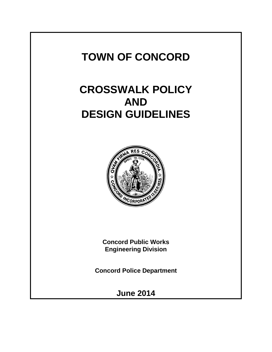# **TOWN OF CONCORD**

# **CROSSWALK POLICY AND DESIGN GUIDELINES**



**Concord Public Works Engineering Division**

**Concord Police Department**

**June 2014**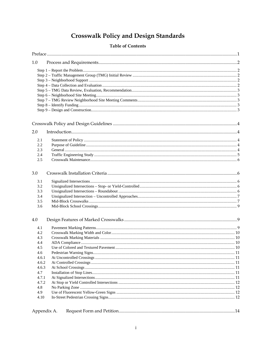# **Crosswalk Policy and Design Standards**

# **Table of Contents**

| 1.0         |  |  |  |  |  |
|-------------|--|--|--|--|--|
|             |  |  |  |  |  |
|             |  |  |  |  |  |
|             |  |  |  |  |  |
|             |  |  |  |  |  |
|             |  |  |  |  |  |
|             |  |  |  |  |  |
|             |  |  |  |  |  |
|             |  |  |  |  |  |
|             |  |  |  |  |  |
|             |  |  |  |  |  |
| 2.0         |  |  |  |  |  |
| 2.1         |  |  |  |  |  |
| 2.2         |  |  |  |  |  |
| 2.3         |  |  |  |  |  |
| 2.4         |  |  |  |  |  |
| 2.5         |  |  |  |  |  |
| 3.0         |  |  |  |  |  |
| 3.1         |  |  |  |  |  |
| 3.2         |  |  |  |  |  |
| 3.3         |  |  |  |  |  |
| 3.4         |  |  |  |  |  |
| 3.5         |  |  |  |  |  |
| 3.6         |  |  |  |  |  |
| 4.0         |  |  |  |  |  |
| 4.1         |  |  |  |  |  |
| 4.2         |  |  |  |  |  |
| 4.3         |  |  |  |  |  |
| 4.4         |  |  |  |  |  |
| 4.5         |  |  |  |  |  |
| 4.6         |  |  |  |  |  |
| 4.6.1       |  |  |  |  |  |
| 4.6.2       |  |  |  |  |  |
| 4.6.3       |  |  |  |  |  |
| 4.7         |  |  |  |  |  |
| 4.7.1       |  |  |  |  |  |
| 4.7.2       |  |  |  |  |  |
| 4.8         |  |  |  |  |  |
| 4.9         |  |  |  |  |  |
| 4.10        |  |  |  |  |  |
| Appendix A. |  |  |  |  |  |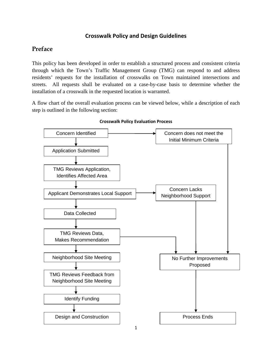# **Crosswalk Policy and Design Guidelines**

# **Preface**

This policy has been developed in order to establish a structured process and consistent criteria through which the Town's Traffic Management Group (TMG) can respond to and address residents' requests for the installation of crosswalks on Town maintained intersections and streets. All requests shall be evaluated on a case-by-case basis to determine whether the installation of a crosswalk in the requested location is warranted.

A flow chart of the overall evaluation process can be viewed below, while a description of each step is outlined in the following section:



#### **Crosswalk Policy Evaluation Process**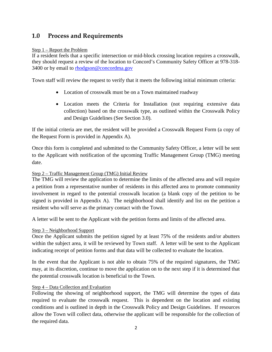# **1.0 Process and Requirements**

#### Step 1 – Report the Problem

If a resident feels that a specific intersection or mid-block crossing location requires a crosswalk, they should request a review of the location to Concord's Community Safety Officer at 978-318- 3400 or by email to [rhodgson@concordma.gov](mailto:rhodgson@concordma.gov)

Town staff will review the request to verify that it meets the following initial minimum criteria:

- Location of crosswalk must be on a Town maintained roadway
- Location meets the Criteria for Installation (not requiring extensive data collection) based on the crosswalk type, as outlined within the Crosswalk Policy and Design Guidelines (See Section 3.0).

If the initial criteria are met, the resident will be provided a Crosswalk Request Form (a copy of the Request Form is provided in Appendix A).

Once this form is completed and submitted to the Community Safety Officer, a letter will be sent to the Applicant with notification of the upcoming Traffic Management Group (TMG) meeting date.

# Step 2 – Traffic Management Group (TMG) Initial Review

The TMG will review the application to determine the limits of the affected area and will require a petition from a representative number of residents in this affected area to promote community involvement in regard to the potential crosswalk location (a blank copy of the petition to be signed is provided in Appendix A). The neighborhood shall identify and list on the petition a resident who will serve as the primary contact with the Town.

A letter will be sent to the Applicant with the petition forms and limits of the affected area.

#### Step 3 – Neighborhood Support

Once the Applicant submits the petition signed by at least 75% of the residents and/or abutters within the subject area, it will be reviewed by Town staff. A letter will be sent to the Applicant indicating receipt of petition forms and that data will be collected to evaluate the location.

In the event that the Applicant is not able to obtain 75% of the required signatures, the TMG may, at its discretion, continue to move the application on to the next step if it is determined that the potential crosswalk location is beneficial to the Town.

# Step 4 – Data Collection and Evaluation

Following the showing of neighborhood support, the TMG will determine the types of data required to evaluate the crosswalk request. This is dependent on the location and existing conditions and is outlined in depth in the Crosswalk Policy and Design Guidelines. If resources allow the Town will collect data, otherwise the applicant will be responsible for the collection of the required data.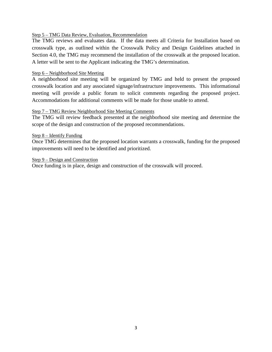#### Step 5 – TMG Data Review, Evaluation, Recommendation

The TMG reviews and evaluates data. If the data meets all Criteria for Installation based on crosswalk type, as outlined within the Crosswalk Policy and Design Guidelines attached in Section 4.0, the TMG may recommend the installation of the crosswalk at the proposed location. A letter will be sent to the Applicant indicating the TMG's determination.

#### Step 6 – Neighborhood Site Meeting

A neighborhood site meeting will be organized by TMG and held to present the proposed crosswalk location and any associated signage/infrastructure improvements. This informational meeting will provide a public forum to solicit comments regarding the proposed project. Accommodations for additional comments will be made for those unable to attend.

#### Step 7 – TMG Review Neighborhood Site Meeting Comments

The TMG will review feedback presented at the neighborhood site meeting and determine the scope of the design and construction of the proposed recommendations.

#### Step 8 – Identify Funding

Once TMG determines that the proposed location warrants a crosswalk, funding for the proposed improvements will need to be identified and prioritized.

#### Step 9 – Design and Construction

Once funding is in place, design and construction of the crosswalk will proceed.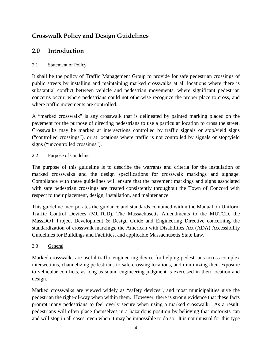# **Crosswalk Policy and Design Guidelines**

# **2.0 Introduction**

# 2.1 Statement of Policy

It shall be the policy of Traffic Management Group to provide for safe pedestrian crossings of public streets by installing and maintaining marked crosswalks at all locations where there is substantial conflict between vehicle and pedestrian movements, where significant pedestrian concerns occur, where pedestrians could not otherwise recognize the proper place to cross, and where traffic movements are controlled.

A "marked crosswalk" is any crosswalk that is delineated by painted marking placed on the pavement for the purpose of directing pedestrians to use a particular location to cross the street. Crosswalks may be marked at intersections controlled by traffic signals or stop/yield signs ("controlled crossings"), or at locations where traffic is not controlled by signals or stop/yield signs ("uncontrolled crossings").

# 2.2 Purpose of Guideline

The purpose of this guideline is to describe the warrants and criteria for the installation of marked crosswalks and the design specifications for crosswalk markings and signage. Compliance with these guidelines will ensure that the pavement markings and signs associated with safe pedestrian crossings are treated consistently throughout the Town of Concord with respect to their placement, design, installation, and maintenance.

This guideline incorporates the guidance and standards contained within the Manual on Uniform Traffic Control Devices (MUTCD), The Massachusetts Amendments to the MUTCD, the MassDOT Project Development & Design Guide and Engineering Directive concerning the standardization of crosswalk markings, the American with Disabilities Act (ADA) Accessibility Guidelines for Buildings and Facilities, and applicable Massachusetts State Law.

# 2.3 General

Marked crosswalks are useful traffic engineering device for helping pedestrians across complex intersections, channelizing pedestrians to safe crossing locations, and minimizing their exposure to vehicular conflicts, as long as sound engineering judgment is exercised in their location and design.

Marked crosswalks are viewed widely as "safety devices", and most municipalities give the pedestrian the right-of-way when within them. However, there is strong evidence that these facts prompt many pedestrians to feel overly secure when using a marked crosswalk. As a result, pedestrians will often place themselves in a hazardous position by believing that motorists can and will stop in all cases, even when it may be impossible to do so. It is not unusual for this type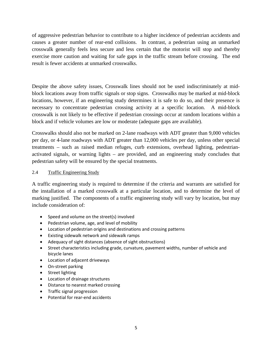of aggressive pedestrian behavior to contribute to a higher incidence of pedestrian accidents and causes a greater number of rear-end collisions. In contrast, a pedestrian using an unmarked crosswalk generally feels less secure and less certain that the motorist will stop and thereby exercise more caution and waiting for safe gaps in the traffic stream before crossing. The end result is fewer accidents at unmarked crosswalks.

Despite the above safety issues, Crosswalk lines should not be used indiscriminately at midblock locations away from traffic signals or stop signs. Crosswalks may be marked at mid-block locations, however, if an engineering study determines it is safe to do so, and their presence is necessary to concentrate pedestrian crossing activity at a specific location. A mid-block crosswalk is not likely to be effective if pedestrian crossings occur at random locations within a block and if vehicle volumes are low or moderate (adequate gaps are available).

Crosswalks should also not be marked on 2-lane roadways with ADT greater than 9,000 vehicles per day, or 4-lane roadways with ADT greater than 12,000 vehicles per day, unless other special treatments – such as raised median refuges, curb extensions, overhead lighting, pedestrianactivated signals, or warning lights – are provided, and an engineering study concludes that pedestrian safety will be ensured by the special treatments.

#### 2.4 Traffic Engineering Study

A traffic engineering study is required to determine if the criteria and warrants are satisfied for the installation of a marked crosswalk at a particular location, and to determine the level of marking justified. The components of a traffic engineering study will vary by location, but may include consideration of:

- Speed and volume on the street(s) involved
- Pedestrian volume, age, and level of mobility
- Location of pedestrian origins and destinations and crossing patterns
- Existing sidewalk network and sidewalk ramps
- Adequacy of sight distances (absence of sight obstructions)
- Street characteristics including grade, curvature, pavement widths, number of vehicle and bicycle lanes
- Location of adjacent driveways
- On-street parking
- Street lighting
- Location of drainage structures
- Distance to nearest marked crossing
- Traffic signal progression
- Potential for rear-end accidents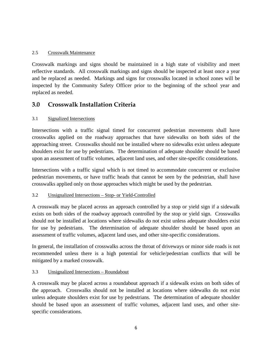## 2.5 Crosswalk Maintenance

Crosswalk markings and signs should be maintained in a high state of visibility and meet reflective standards. All crosswalk markings and signs should be inspected at least once a year and be replaced as needed. Markings and signs for crosswalks located in school zones will be inspected by the Community Safety Officer prior to the beginning of the school year and replaced as needed.

# **3.0 Crosswalk Installation Criteria**

# 3.1 Signalized Intersections

Intersections with a traffic signal timed for concurrent pedestrian movements shall have crosswalks applied on the roadway approaches that have sidewalks on both sides of the approaching street. Crosswalks should not be installed where no sidewalks exist unless adequate shoulders exist for use by pedestrians. The determination of adequate shoulder should be based upon an assessment of traffic volumes, adjacent land uses, and other site-specific considerations.

Intersections with a traffic signal which is not timed to accommodate concurrent or exclusive pedestrian movements, or have traffic heads that cannot be seen by the pedestrian, shall have crosswalks applied only on those approaches which might be used by the pedestrian.

#### 3.2 Unsignalized Intersections – Stop- or Yield-Controlled

A crosswalk may be placed across an approach controlled by a stop or yield sign if a sidewalk exists on both sides of the roadway approach controlled by the stop or yield sign. Crosswalks should not be installed at locations where sidewalks do not exist unless adequate shoulders exist for use by pedestrians. The determination of adequate shoulder should be based upon an assessment of traffic volumes, adjacent land uses, and other site-specific considerations.

In general, the installation of crosswalks across the throat of driveways or minor side roads is not recommended unless there is a high potential for vehicle/pedestrian conflicts that will be mitigated by a marked crosswalk.

#### 3.3 Unsignalized Intersections – Roundabout

A crosswalk may be placed across a roundabout approach if a sidewalk exists on both sides of the approach. Crosswalks should not be installed at locations where sidewalks do not exist unless adequate shoulders exist for use by pedestrians. The determination of adequate shoulder should be based upon an assessment of traffic volumes, adjacent land uses, and other sitespecific considerations.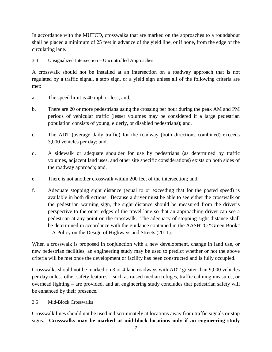In accordance with the MUTCD, crosswalks that are marked on the approaches to a roundabout shall be placed a minimum of 25 feet in advance of the yield line, or if none, from the edge of the circulating lane.

## 3.4 Unsignalized Intersection – Uncontrolled Approaches

A crosswalk should not be installed at an intersection on a roadway approach that is not regulated by a traffic signal, a stop sign, or a yield sign unless all of the following criteria are met:

- a. The speed limit is 40 mph or less; and,
- b. There are 20 or more pedestrians using the crossing per hour during the peak AM and PM periods of vehicular traffic (lesser volumes may be considered if a large pedestrian population consists of young, elderly, or disabled pedestrians); and,
- c. The ADT (average daily traffic) for the roadway (both directions combined) exceeds 3,000 vehicles per day; and,
- d. A sidewalk or adequate shoulder for use by pedestrians (as determined by traffic volumes, adjacent land uses, and other site specific considerations) exists on both sides of the roadway approach; and,
- e. There is not another crosswalk within 200 feet of the intersection; and,
- f. Adequate stopping sight distance (equal to or exceeding that for the posted speed) is available in both directions. Because a driver must be able to see either the crosswalk or the pedestrian warning sign, the sight distance should be measured from the driver's perspective to the outer edges of the travel lane so that an approaching driver can see a pedestrian at any point on the crosswalk. The adequacy of stopping sight distance shall be determined in accordance with the guidance contained in the AASHTO "Green Book" – A Policy on the Design of Highways and Streets (2011).

When a crosswalk is proposed in conjunction with a new development, change in land use, or new pedestrian facilities, an engineering study may be used to predict whether or not the above criteria will be met once the development or facility has been constructed and is fully occupied.

Crosswalks should not be marked on 3 or 4 lane roadways with ADT greater than 9,000 vehicles per day unless other safety features – such as raised median refuges, traffic calming measures, or overhead lighting – are provided, and an engineering study concludes that pedestrian safety will be enhanced by their presence.

# 3.5 Mid-Block Crosswalks

Crosswalk lines should not be used indiscriminately at locations away from traffic signals or stop signs. **Crosswalks may be marked at mid-block locations only if an engineering study**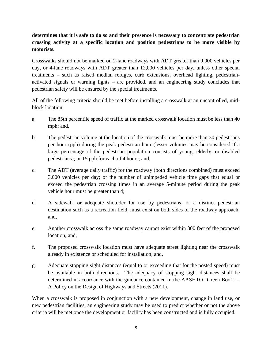# **determines that it is safe to do so and their presence is necessary to concentrate pedestrian crossing activity at a specific location and position pedestrians to be more visible by motorists.**

Crosswalks should not be marked on 2-lane roadways with ADT greater than 9,000 vehicles per day, or 4-lane roadways with ADT greater than 12,000 vehicles per day, unless other special treatments – such as raised median refuges, curb extensions, overhead lighting, pedestrianactivated signals or warning lights – are provided, and an engineering study concludes that pedestrian safety will be ensured by the special treatments.

All of the following criteria should be met before installing a crosswalk at an uncontrolled, midblock location:

- a. The 85th percentile speed of traffic at the marked crosswalk location must be less than 40 mph; and,
- b. The pedestrian volume at the location of the crosswalk must be more than 30 pedestrians per hour (pph) during the peak pedestrian hour (lesser volumes may be considered if a large percentage of the pedestrian population consists of young, elderly, or disabled pedestrians); or 15 pph for each of 4 hours; and,
- c. The ADT (average daily traffic) for the roadway (both directions combined) must exceed 3,000 vehicles per day; or the number of unimpeded vehicle time gaps that equal or exceed the pedestrian crossing times in an average 5-minute period during the peak vehicle hour must be greater than 4;
- d. A sidewalk or adequate shoulder for use by pedestrians, or a distinct pedestrian destination such as a recreation field, must exist on both sides of the roadway approach; and,
- e. Another crosswalk across the same roadway cannot exist within 300 feet of the proposed location; and,
- f. The proposed crosswalk location must have adequate street lighting near the crosswalk already in existence or scheduled for installation; and,
- g. Adequate stopping sight distances (equal to or exceeding that for the posted speed) must be available in both directions. The adequacy of stopping sight distances shall be determined in accordance with the guidance contained in the AASHTO "Green Book" – A Policy on the Design of Highways and Streets (2011).

When a crosswalk is proposed in conjunction with a new development, change in land use, or new pedestrian facilities, an engineering study may be used to predict whether or not the above criteria will be met once the development or facility has been constructed and is fully occupied.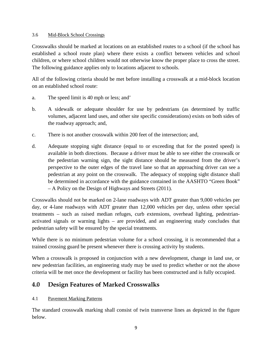#### 3.6 Mid-Block School Crossings

Crosswalks should be marked at locations on an established routes to a school (if the school has established a school route plan) where there exists a conflict between vehicles and school children, or where school children would not otherwise know the proper place to cross the street. The following guidance applies only to locations adjacent to schools.

All of the following criteria should be met before installing a crosswalk at a mid-block location on an established school route:

- a. The speed limit is 40 mph or less; and'
- b. A sidewalk or adequate shoulder for use by pedestrians (as determined by traffic volumes, adjacent land uses, and other site specific considerations) exists on both sides of the roadway approach; and,
- c. There is not another crosswalk within 200 feet of the intersection; and,
- d. Adequate stopping sight distance (equal to or exceeding that for the posted speed) is available in both directions. Because a driver must be able to see either the crosswalk or the pedestrian warning sign, the sight distance should be measured from the driver's perspective to the outer edges of the travel lane so that an approaching driver can see a pedestrian at any point on the crosswalk. The adequacy of stopping sight distance shall be determined in accordance with the guidance contained in the AASHTO "Green Book" – A Policy on the Design of Highways and Streets (2011).

Crosswalks should not be marked on 2-lane roadways with ADT greater than 9,000 vehicles per day, or 4-lane roadways with ADT greater than 12,000 vehicles per day, unless other special treatments – such as raised median refuges, curb extensions, overhead lighting, pedestrianactivated signals or warning lights – are provided, and an engineering study concludes that pedestrian safety will be ensured by the special treatments.

While there is no minimum pedestrian volume for a school crossing, it is recommended that a trained crossing guard be present whenever there is crossing activity by students.

When a crosswalk is proposed in conjunction with a new development, change in land use, or new pedestrian facilities, an engineering study may be used to predict whether or not the above criteria will be met once the development or facility has been constructed and is fully occupied.

# **4.0 Design Features of Marked Crosswalks**

# 4.1 Pavement Marking Patterns

The standard crosswalk marking shall consist of twin transverse lines as depicted in the figure below.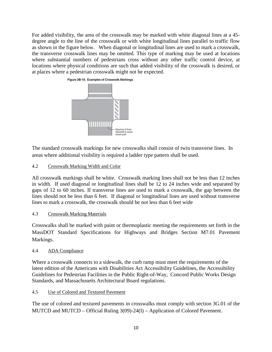For added visibility, the area of the crosswalk may be marked with white diagonal lines at a 45 degree angle to the line of the crosswalk or with white longitudinal lines parallel to traffic flow as shown in the figure below. When diagonal or longitudinal lines are used to mark a crosswalk, the transverse crosswalk lines may be omitted. This type of marking may be used at locations where substantial numbers of pedestrians cross without any other traffic control device, at locations where physical conditions are such that added visibility of the crosswalk is desired, or at places where a pedestrian crosswalk might not be expected.



The standard crosswalk markings for new crosswalks shall consist of twin transverse lines. In areas where additional visibility is required a ladder type pattern shall be used.

4.2 Crosswalk Marking Width and Color

All crosswalk markings shall be white. Crosswalk marking lines shall not be less than 12 inches in width. If used diagonal or longitudinal lines shall be 12 to 24 inches wide and separated by gaps of 12 to 60 inches. If transverse lines are used to mark a crosswalk, the gap between the lines should not be less than 6 feet. If diagonal or longitudinal lines are used without transverse lines to mark a crosswalk, the crosswalk should be not less than 6 feet wide

# 4.3 Crosswalk Marking Materials

Crosswalks shall be marked with paint or thermoplastic meeting the requirements set forth in the MassDOT Standard Specifications for Highways and Bridges Section M7.01 Pavement Markings.

# 4.4 ADA Compliance

Where a crosswalk connects to a sidewalk, the curb ramp must meet the requirements of the latest edition of the Americans with Disabilities Act Accessibility Guidelines, the Accessibility Guidelines for Pedestrian Facilities in the Public Right-of-Way, Concord Public Works Design Standards, and Massachusetts Architectural Board regulations.

4.5 Use of Colored and Textured Pavement

The use of colored and textured pavements in crosswalks must comply with section 3G.01 of the MUTCD and MUTCD – Official Ruling 3(09)-24(I) – Application of Colored Pavement.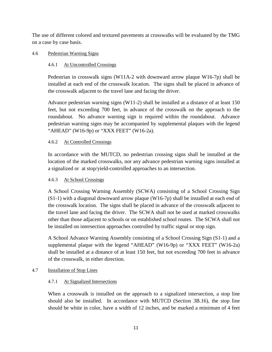The use of different colored and textured pavements at crosswalks will be evaluated by the TMG on a case by case basis.

## 4.6 Pedestrian Warning Signs

# 4.6.1 At Uncontrolled Crossings

Pedestrian in crosswalk signs (W11A-2 with downward arrow plaque W16-7p) shall be installed at each end of the crosswalk location. The signs shall be placed in advance of the crosswalk adjacent to the travel lane and facing the driver.

Advance pedestrian warning signs (W11-2) shall be installed at a distance of at least 150 feet, but not exceeding 700 feet, in advance of the crosswalk on the approach to the roundabout. No advance warning sign is required within the roundabout. Advance pedestrian warning signs may be accompanied by supplemental plaques with the legend "AHEAD" (W16-9p) or "XXX FEET" (W16-2a).

# 4.6.2 At Controlled Crossings

In accordance with the MUTCD, no pedestrian crossing signs shall be installed at the location of the marked crosswalks, nor any advance pedestrian warning signs installed at a signalized or at stop/yield-controlled approaches to an intersection.

# 4.6.3 At School Crossings

A School Crossing Warning Assembly (SCWA) consisting of a School Crossing Sign  $(S1-1)$  with a diagonal downward arrow plaque (W16-7p) shall be installed at each end of the crosswalk location. The signs shall be placed in advance of the crosswalk adjacent to the travel lane and facing the driver. The SCWA shall not be used at marked crosswalks other than those adjacent to schools or on established school routes. The SCWA shall not be installed on intersection approaches controlled by traffic signal or stop sign.

A School Advance Warning Assembly consisting of a School Crossing Sign (S1-1) and a supplemental plaque with the legend "AHEAD" (W16-9p) or "XXX FEET" (W16-2a) shall be installed at a distance of at least 150 feet, but not exceeding 700 feet in advance of the crosswalk, in either direction.

# 4.7 Installation of Stop Lines

# 4.7.1 At Signalized Intersections

When a crosswalk is installed on the approach to a signalized intersection, a stop line should also be installed. In accordance with MUTCD (Section 3B.16), the stop line should be white in color, have a width of 12 inches, and be marked a minimum of 4 feet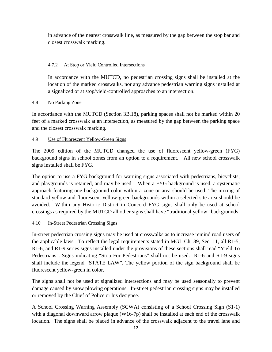in advance of the nearest crosswalk line, as measured by the gap between the stop bar and closest crosswalk marking.

# 4.7.2 At Stop or Yield Controlled Intersections

In accordance with the MUTCD, no pedestrian crossing signs shall be installed at the location of the marked crosswalks, nor any advance pedestrian warning signs installed at a signalized or at stop/yield-controlled approaches to an intersection.

# 4.8 No Parking Zone

In accordance with the MUTCD (Section 3B.18), parking spaces shall not be marked within 20 feet of a marked crosswalk at an intersection, as measured by the gap between the parking space and the closest crosswalk marking.

# 4.9 Use of Fluorescent Yellow-Green Signs

The 2009 edition of the MUTCD changed the use of fluorescent yellow-green (FYG) background signs in school zones from an option to a requirement. All new school crosswalk signs installed shall be FYG.

The option to use a FYG background for warning signs associated with pedestrians, bicyclists, and playgrounds is retained, and may be used. When a FYG background is used, a systematic approach featuring one background color within a zone or area should be used. The mixing of standard yellow and fluorescent yellow-green backgrounds within a selected site area should be avoided. Within any Historic District in Concord FYG signs shall only be used at school crossings as required by the MUTCD all other signs shall have "traditional yellow" backgrounds

# 4.10 In-Street Pedestrian Crossing Signs

In-street pedestrian crossing signs may be used at crosswalks as to increase remind road users of the applicable laws. To reflect the legal requirements stated in MGL Ch. 89, Sec. 11, all R1-5, R1-6, and R1-9 series signs installed under the provisions of these sections shall read "Yield To Pedestrians". Signs indicating "Stop For Pedestrians" shall not be used. R1-6 and R1-9 signs shall include the legend "STATE LAW". The yellow portion of the sign background shall be fluorescent yellow-green in color.

The signs shall not be used at signalized intersections and may be used seasonally to prevent damage caused by snow plowing operations. In-street pedestrian crossing signs may be installed or removed by the Chief of Police or his designee.

A School Crossing Warning Assembly (SCWA) consisting of a School Crossing Sign (S1-1) with a diagonal downward arrow plaque (W16-7p) shall be installed at each end of the crosswalk location. The signs shall be placed in advance of the crosswalk adjacent to the travel lane and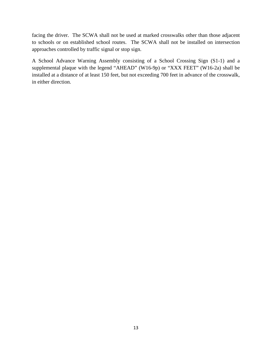facing the driver. The SCWA shall not be used at marked crosswalks other than those adjacent to schools or on established school routes. The SCWA shall not be installed on intersection approaches controlled by traffic signal or stop sign.

A School Advance Warning Assembly consisting of a School Crossing Sign (S1-1) and a supplemental plaque with the legend "AHEAD" (W16-9p) or "XXX FEET" (W16-2a) shall be installed at a distance of at least 150 feet, but not exceeding 700 feet in advance of the crosswalk, in either direction.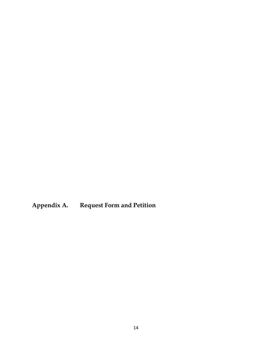**Appendix A. Request Form and Petition**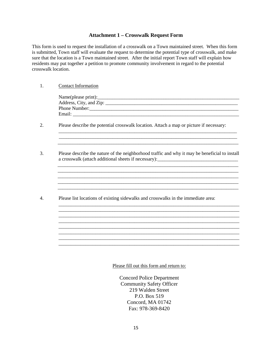#### **Attachment 1 – Crosswalk Request Form**

This form is used to request the installation of a crosswalk on a Town maintained street. When this form is submitted, Town staff will evaluate the request to determine the potential type of crosswalk, and make sure that the location is a Town maintained street. After the initial report Town staff will explain how residents may put together a petition to promote community involvement in regard to the potential crosswalk location.

#### 1. Contact Information

| Name(please print):     |  |
|-------------------------|--|
| Address, City, and Zip: |  |
| Phone Number:           |  |
| Email:                  |  |
|                         |  |

\_\_\_\_\_\_\_\_\_\_\_\_\_\_\_\_\_\_\_\_\_\_\_\_\_\_\_\_\_\_\_\_\_\_\_\_\_\_\_\_\_\_\_\_\_\_\_\_\_\_\_\_\_\_\_\_\_\_\_\_\_\_\_\_\_\_\_\_\_\_\_\_\_

 $\mathcal{L}_\text{max}$  , and the set of the set of the set of the set of the set of the set of the set of the set of the set of the set of the set of the set of the set of the set of the set of the set of the set of the set of the

\_\_\_\_\_\_\_\_\_\_\_\_\_\_\_\_\_\_\_\_\_\_\_\_\_\_\_\_\_\_\_\_\_\_\_\_\_\_\_\_\_\_\_\_\_\_\_\_\_\_\_\_\_\_\_\_\_\_\_\_\_\_\_\_\_\_\_\_\_\_\_\_\_\_ \_\_\_\_\_\_\_\_\_\_\_\_\_\_\_\_\_\_\_\_\_\_\_\_\_\_\_\_\_\_\_\_\_\_\_\_\_\_\_\_\_\_\_\_\_\_\_\_\_\_\_\_\_\_\_\_\_\_\_\_\_\_\_\_\_\_\_\_\_\_\_\_\_\_

\_\_\_\_\_\_\_\_\_\_\_\_\_\_\_\_\_\_\_\_\_\_\_\_\_\_\_\_\_\_\_\_\_\_\_\_\_\_\_\_\_\_\_\_\_\_\_\_\_\_\_\_\_\_\_\_\_\_\_\_\_\_\_\_\_\_\_\_\_\_\_\_\_\_

\_\_\_\_\_\_\_\_\_\_\_\_\_\_\_\_\_\_\_\_\_\_\_\_\_\_\_\_\_\_\_\_\_\_\_\_\_\_\_\_\_\_\_\_\_\_\_\_\_\_\_\_\_\_\_\_\_\_\_\_\_\_\_\_\_\_\_\_\_\_\_\_\_\_ \_\_\_\_\_\_\_\_\_\_\_\_\_\_\_\_\_\_\_\_\_\_\_\_\_\_\_\_\_\_\_\_\_\_\_\_\_\_\_\_\_\_\_\_\_\_\_\_\_\_\_\_\_\_\_\_\_\_\_\_\_\_\_\_\_\_\_\_\_\_\_\_\_\_ \_\_\_\_\_\_\_\_\_\_\_\_\_\_\_\_\_\_\_\_\_\_\_\_\_\_\_\_\_\_\_\_\_\_\_\_\_\_\_\_\_\_\_\_\_\_\_\_\_\_\_\_\_\_\_\_\_\_\_\_\_\_\_\_\_\_\_\_\_\_\_\_\_\_

\_\_\_\_\_\_\_\_\_\_\_\_\_\_\_\_\_\_\_\_\_\_\_\_\_\_\_\_\_\_\_\_\_\_\_\_\_\_\_\_\_\_\_\_\_\_\_\_\_\_\_\_\_\_\_\_\_\_\_\_\_\_\_\_\_\_\_\_\_\_\_\_\_\_

2. Please describe the potential crosswalk location. Attach a map or picture if necessary:

3. Please describe the nature of the neighborhood traffic and why it may be beneficial to install a crosswalk (attach additional sheets if necessary):\_\_\_\_\_\_\_\_\_\_\_\_\_\_\_\_\_\_\_\_\_\_\_\_\_\_\_\_\_\_\_\_\_

\_\_\_\_\_\_\_\_\_\_\_\_\_\_\_\_\_\_\_\_\_\_\_\_\_\_\_\_\_\_\_\_\_\_\_\_\_\_\_\_\_\_\_\_\_\_\_\_\_\_\_\_\_\_\_\_\_\_\_\_\_\_\_\_\_\_\_\_\_\_\_\_\_\_

\_\_\_\_\_\_\_\_\_\_\_\_\_\_\_\_\_\_\_\_\_\_\_\_\_\_\_\_\_\_\_\_\_\_\_\_\_\_\_\_\_\_\_\_\_\_\_\_\_\_\_\_\_\_\_\_\_\_\_\_\_\_\_\_\_\_\_\_\_\_\_\_\_\_

\_\_\_\_\_\_\_\_\_\_\_\_\_\_\_\_\_\_\_\_\_\_\_\_\_\_\_\_\_\_\_\_\_\_\_\_\_\_\_\_\_\_\_\_\_\_\_\_\_\_\_\_\_\_\_\_\_\_\_\_\_\_\_\_\_\_\_\_\_\_\_\_\_\_

4. Please list locations of existing sidewalks and crosswalks in the immediate area:

Please fill out this form and return to:

Concord Police Department Community Safety Officer 219 Walden Street P.O. Box 519 Concord, MA 01742 Fax: 978-369-8420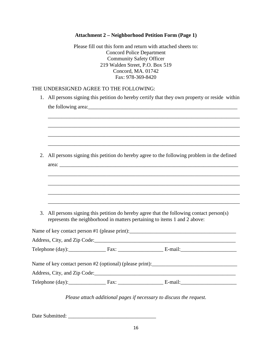# **Attachment 2 – Neighborhood Petition Form (Page 1)**

Please fill out this form and return with attached sheets to: Concord Police Department Community Safety Officer 219 Walden Street, P.O. Box 519 Concord, MA. 01742 Fax: 978-369-8420

#### THE UNDERSIGNED AGREE TO THE FOLLOWING:

| 1. | All persons signing this petition do hereby certify that they own property or reside within                                                                         |  |                                                                                           |  |  |
|----|---------------------------------------------------------------------------------------------------------------------------------------------------------------------|--|-------------------------------------------------------------------------------------------|--|--|
|    |                                                                                                                                                                     |  |                                                                                           |  |  |
|    |                                                                                                                                                                     |  |                                                                                           |  |  |
|    |                                                                                                                                                                     |  |                                                                                           |  |  |
|    |                                                                                                                                                                     |  |                                                                                           |  |  |
| 2. |                                                                                                                                                                     |  | All persons signing this petition do hereby agree to the following problem in the defined |  |  |
|    |                                                                                                                                                                     |  |                                                                                           |  |  |
|    |                                                                                                                                                                     |  |                                                                                           |  |  |
|    |                                                                                                                                                                     |  |                                                                                           |  |  |
|    |                                                                                                                                                                     |  |                                                                                           |  |  |
| 3. | All persons signing this petition do hereby agree that the following contact person(s)<br>represents the neighborhood in matters pertaining to items 1 and 2 above: |  |                                                                                           |  |  |
|    |                                                                                                                                                                     |  |                                                                                           |  |  |
|    |                                                                                                                                                                     |  |                                                                                           |  |  |
|    |                                                                                                                                                                     |  |                                                                                           |  |  |
|    |                                                                                                                                                                     |  |                                                                                           |  |  |
|    |                                                                                                                                                                     |  |                                                                                           |  |  |
|    |                                                                                                                                                                     |  |                                                                                           |  |  |
|    |                                                                                                                                                                     |  |                                                                                           |  |  |
|    |                                                                                                                                                                     |  | Please attach additional pages if necessary to discuss the request.                       |  |  |

Date Submitted: \_\_\_\_\_\_\_\_\_\_\_\_\_\_\_\_\_\_\_\_\_\_\_\_\_\_\_\_\_\_\_\_\_